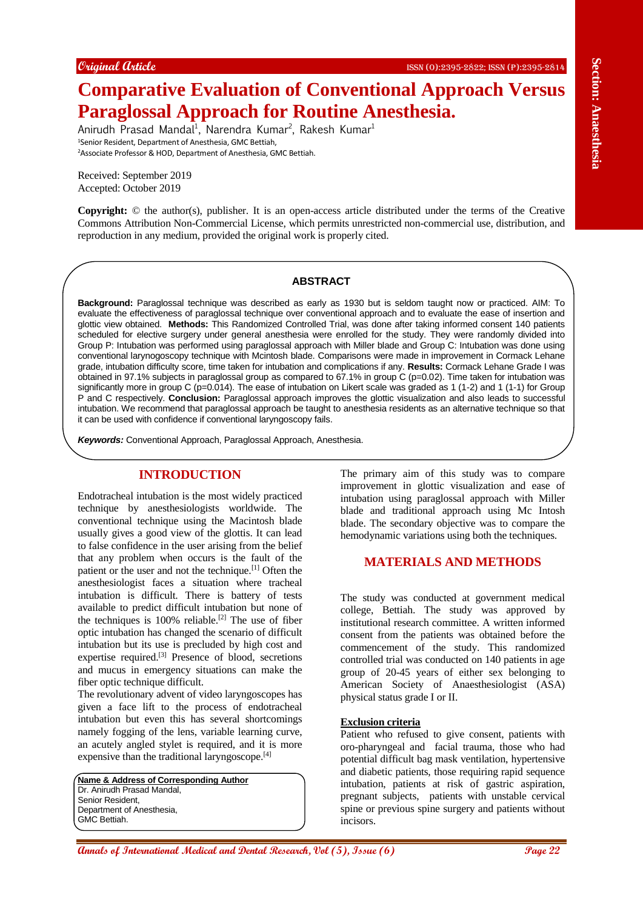# **Comparative Evaluation of Conventional Approach Versus Paraglossal Approach for Routine Anesthesia.**

Anirudh Prasad Mandal<sup>1</sup>, Narendra Kumar<sup>2</sup>, Rakesh Kumar<sup>1</sup> <sup>1</sup>Senior Resident, Department of Anesthesia, GMC Bettiah, <sup>2</sup>Associate Professor & HOD, Department of Anesthesia, GMC Bettiah.

Received: September 2019 Accepted: October 2019

**Copyright:** © the author(s), publisher. It is an open-access article distributed under the terms of the Creative Commons Attribution Non-Commercial License, which permits unrestricted non-commercial use, distribution, and reproduction in any medium, provided the original work is properly cited.

#### **ABSTRACT**

**Compared And Compared Compared And Compared Annual Annual Annual Annual Annual Annual Annual Annual Annual Annual Annual Annual Annual Annual Annual Annual Annual Annual Annual Annual Annual Annual Annual Annual Annual An Background:** Paraglossal technique was described as early as 1930 but is seldom taught now or practiced. AIM: To evaluate the effectiveness of paraglossal technique over conventional approach and to evaluate the ease of insertion and glottic view obtained. **Methods:** This Randomized Controlled Trial, was done after taking informed consent 140 patients scheduled for elective surgery under general anesthesia were enrolled for the study. They were randomly divided into Group P: Intubation was performed using paraglossal approach with Miller blade and Group C: Intubation was done using conventional larynogoscopy technique with Mcintosh blade. Comparisons were made in improvement in Cormack Lehane grade, intubation difficulty score, time taken for intubation and complications if any. **Results:** Cormack Lehane Grade I was obtained in 97.1% subjects in paraglossal group as compared to 67.1% in group C (p=0.02). Time taken for intubation was significantly more in group C (p=0.014). The ease of intubation on Likert scale was graded as 1 (1-2) and 1 (1-1) for Group P and C respectively. **Conclusion:** Paraglossal approach improves the glottic visualization and also leads to successful intubation. We recommend that paraglossal approach be taught to anesthesia residents as an alternative technique so that it can be used with confidence if conventional laryngoscopy fails.

*Keywords:* Conventional Approach, Paraglossal Approach, Anesthesia.

# **INTRODUCTION**

Endotracheal intubation is the most widely practiced technique by anesthesiologists worldwide. The conventional technique using the Macintosh blade usually gives a good view of the glottis. It can lead to false confidence in the user arising from the belief that any problem when occurs is the fault of the patient or the user and not the technique.<sup>[1]</sup> Often the anesthesiologist faces a situation where tracheal intubation is difficult. There is battery of tests available to predict difficult intubation but none of the techniques is  $100\%$  reliable.<sup>[2]</sup> The use of fiber optic intubation has changed the scenario of difficult intubation but its use is precluded by high cost and expertise required.[3] Presence of blood, secretions and mucus in emergency situations can make the fiber optic technique difficult.

The revolutionary advent of video laryngoscopes has given a face lift to the process of endotracheal intubation but even this has several shortcomings namely fogging of the lens, variable learning curve, an acutely angled stylet is required, and it is more expensive than the traditional laryngoscope.<sup>[4]</sup>

**Name & Address of Corresponding Author** Dr. Anirudh Prasad Mandal, Senior Resident, Department of Anesthesia, GMC Bettiah.

The primary aim of this study was to compare improvement in glottic visualization and ease of intubation using paraglossal approach with Miller blade and traditional approach using Mc Intosh blade. The secondary objective was to compare the hemodynamic variations using both the techniques.

# **MATERIALS AND METHODS**

The study was conducted at government medical college, Bettiah. The study was approved by institutional research committee. A written informed consent from the patients was obtained before the commencement of the study. This randomized controlled trial was conducted on 140 patients in age group of 20-45 years of either sex belonging to American Society of Anaesthesiologist (ASA) physical status grade I or II.

#### **Exclusion criteria**

Patient who refused to give consent, patients with oro-pharyngeal and facial trauma, those who had potential difficult bag mask ventilation, hypertensive and diabetic patients, those requiring rapid sequence intubation, patients at risk of gastric aspiration, pregnant subjects, patients with unstable cervical spine or previous spine surgery and patients without incisors.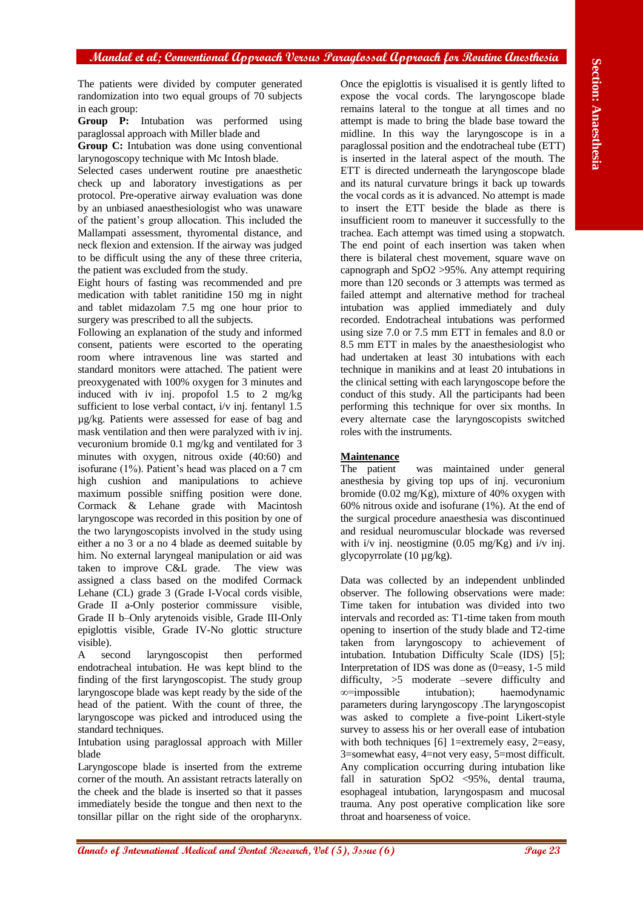#### **Mandal et al; Conventional Approach Versus Paraglossal Approach for Routine Anesthesia**

The patients were divided by computer generated randomization into two equal groups of 70 subjects in each group:

**Group P:** Intubation was performed using paraglossal approach with Miller blade and

**Group C:** Intubation was done using conventional larynogoscopy technique with Mc Intosh blade.

Selected cases underwent routine pre anaesthetic check up and laboratory investigations as per protocol. Pre-operative airway evaluation was done by an unbiased anaesthesiologist who was unaware of the patient's group allocation. This included the Mallampati assessment, thyromental distance, and neck flexion and extension. If the airway was judged to be difficult using the any of these three criteria, the patient was excluded from the study.

Eight hours of fasting was recommended and pre medication with tablet ranitidine 150 mg in night and tablet midazolam 7.5 mg one hour prior to surgery was prescribed to all the subjects.

Following an explanation of the study and informed consent, patients were escorted to the operating room where intravenous line was started and standard monitors were attached. The patient were preoxygenated with 100% oxygen for 3 minutes and induced with iv inj. propofol 1.5 to 2 mg/kg sufficient to lose verbal contact, i/v inj. fentanyl 1.5 µg/kg. Patients were assessed for ease of bag and mask ventilation and then were paralyzed with iv inj. vecuronium bromide 0.1 mg/kg and ventilated for 3 minutes with oxygen, nitrous oxide (40:60) and isofurane (1%). Patient's head was placed on a 7 cm high cushion and manipulations to achieve maximum possible sniffing position were done. Cormack & Lehane grade with Macintosh laryngoscope was recorded in this position by one of the two laryngoscopists involved in the study using either a no 3 or a no 4 blade as deemed suitable by him. No external laryngeal manipulation or aid was taken to improve C&L grade. The view was assigned a class based on the modifed Cormack Lehane (CL) grade 3 (Grade I-Vocal cords visible, Grade II a-Only posterior commissure visible, Grade II b–Only arytenoids visible, Grade III-Only epiglottis visible, Grade IV-No glottic structure visible).

A second laryngoscopist then performed endotracheal intubation. He was kept blind to the finding of the first laryngoscopist. The study group laryngoscope blade was kept ready by the side of the head of the patient. With the count of three, the laryngoscope was picked and introduced using the standard techniques.

Intubation using paraglossal approach with Miller blade

Laryngoscope blade is inserted from the extreme corner of the mouth. An assistant retracts laterally on the cheek and the blade is inserted so that it passes immediately beside the tongue and then next to the tonsillar pillar on the right side of the oropharynx.

**Alternative and the international Medical and The International Medical and The International Medical Annals of The Dental Research (V) a particular and the Control Control Control Control Control Control Control Control** Once the epiglottis is visualised it is gently lifted to expose the vocal cords. The laryngoscope blade remains lateral to the tongue at all times and no attempt is made to bring the blade base toward the midline. In this way the laryngoscope is in a paraglossal position and the endotracheal tube (ETT) is inserted in the lateral aspect of the mouth. The ETT is directed underneath the laryngoscope blade and its natural curvature brings it back up towards the vocal cords as it is advanced. No attempt is made to insert the ETT beside the blade as there is insufficient room to maneuver it successfully to the trachea. Each attempt was timed using a stopwatch. The end point of each insertion was taken when there is bilateral chest movement, square wave on capnograph and SpO2 >95%. Any attempt requiring more than 120 seconds or 3 attempts was termed as failed attempt and alternative method for tracheal intubation was applied immediately and duly recorded. Endotracheal intubations was performed using size 7.0 or 7.5 mm ETT in females and 8.0 or 8.5 mm ETT in males by the anaesthesiologist who had undertaken at least 30 intubations with each technique in manikins and at least 20 intubations in the clinical setting with each laryngoscope before the conduct of this study. All the participants had been performing this technique for over six months. In every alternate case the laryngoscopists switched roles with the instruments.

#### **Maintenance**

The patient was maintained under general anesthesia by giving top ups of inj. vecuronium bromide  $(0.02 \text{ mg/Kg})$ , mixture of 40% oxygen with 60% nitrous oxide and isofurane (1%). At the end of the surgical procedure anaesthesia was discontinued and residual neuromuscular blockade was reversed with  $i/v$  inj. neostigmine (0.05 mg/Kg) and  $i/v$  inj. glycopyrrolate (10 µg/kg).

Data was collected by an independent unblinded observer. The following observations were made: Time taken for intubation was divided into two intervals and recorded as: T1-time taken from mouth opening to insertion of the study blade and T2-time taken from laryngoscopy to achievement of intubation. Intubation Difficulty Scale (IDS) [5]; Interpretation of IDS was done as (0=easy, 1-5 mild difficulty,  $>5$  moderate –severe difficulty and  $\infty$ =impossible intubation); haemodynamic intubation); haemodynamic parameters during laryngoscopy .The laryngoscopist was asked to complete a five-point Likert-style survey to assess his or her overall ease of intubation with both techniques [6] 1=extremely easy, 2=easy, 3=somewhat easy, 4=not very easy, 5=most difficult. Any complication occurring during intubation like fall in saturation SpO2 <95%, dental trauma, esophageal intubation, laryngospasm and mucosal trauma. Any post operative complication like sore throat and hoarseness of voice.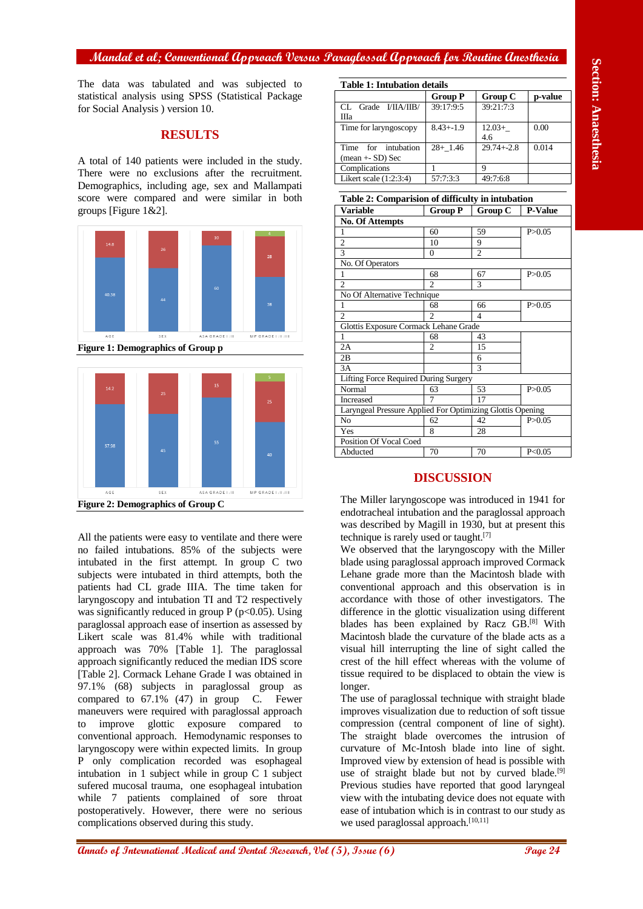#### **Mandal et al; Conventional Approach Versus Paraglossal Approach for Routine Anesthesia**

The data was tabulated and was subjected to statistical analysis using SPSS (Statistical Package for Social Analysis ) version 10.

## **RESULTS**

A total of 140 patients were included in the study. There were no exclusions after the recruitment. Demographics, including age, sex and Mallampati score were compared and were similar in both groups [Figure 1&2].



**Figure 1: Demographics of Group p**



**Annals of Ann and School Control in the section of Ann and School Control in the section of Ann and School Control in the section of Ann and School Control in the section of Ann and School Control in the section of Ann a** All the patients were easy to ventilate and there were no failed intubations. 85% of the subjects were intubated in the first attempt. In group C two subjects were intubated in third attempts, both the patients had CL grade IIIA. The time taken for laryngoscopy and intubation TI and T2 respectively was significantly reduced in group  $P$  ( $p<0.05$ ). Using paraglossal approach ease of insertion as assessed by Likert scale was 81.4% while with traditional approach was 70% [Table 1]. The paraglossal approach significantly reduced the median IDS score [Table 2]. Cormack Lehane Grade I was obtained in 97.1% (68) subjects in paraglossal group as compared to 67.1% (47) in group C. Fewer maneuvers were required with paraglossal approach to improve glottic exposure compared to conventional approach. Hemodynamic responses to laryngoscopy were within expected limits. In group P only complication recorded was esophageal intubation in 1 subject while in group C 1 subject sufered mucosal trauma, one esophageal intubation while 7 patients complained of sore throat postoperatively. However, there were no serious complications observed during this study.

**Table 1: Intubation details**

| Tavit 1. Mituvativli uttalis               |                |                 |         |  |
|--------------------------------------------|----------------|-----------------|---------|--|
|                                            | <b>Group P</b> | Group C         | p-value |  |
| Grade I/IIA/IIB/<br>CL.<br>Ша              | 39:17:9:5      | 39:21:7:3       |         |  |
| Time for laryngoscopy                      | $8.43 + -1.9$  | $12.03+$<br>4.6 | 0.00    |  |
| for intubation<br>Time<br>$mean + SD)$ Sec | $28+1.46$      | $29.74 + -2.8$  | 0.014   |  |
| Complications                              |                | Q               |         |  |
| Likert scale $(1:2:3:4)$                   | 57:7:3:3       | 49:7:6:8        |         |  |

| Table 2: Comparision of difficulty in intubation          |                |                |                |  |
|-----------------------------------------------------------|----------------|----------------|----------------|--|
| Variable                                                  | <b>Group P</b> | Group C        | <b>P-Value</b> |  |
| <b>No. Of Attempts</b>                                    |                |                |                |  |
| 1                                                         | 60             | 59             | P > 0.05       |  |
| $\overline{2}$                                            | 10             | 9              |                |  |
| 3                                                         | $\Omega$       | $\overline{c}$ |                |  |
| No. Of Operators                                          |                |                |                |  |
| 1                                                         | 68             | 67             | P > 0.05       |  |
| $\overline{2}$                                            | $\mathfrak{D}$ | 3              |                |  |
| No Of Alternative Technique                               |                |                |                |  |
| 1                                                         | 68             | 66             | P > 0.05       |  |
| $\mathfrak{D}$                                            | $\mathfrak{D}$ | 4              |                |  |
| Glottis Exposure Cormack Lehane Grade                     |                |                |                |  |
| 1                                                         | 68             | 43             |                |  |
| 2A                                                        | $\overline{c}$ | 15             |                |  |
| 2B                                                        |                | 6              |                |  |
| 3A                                                        |                | $\mathcal{R}$  |                |  |
| Lifting Force Required During Surgery                     |                |                |                |  |
| Normal                                                    | 63             | 53             | P > 0.05       |  |
| <b>Increased</b>                                          | 7              | 17             |                |  |
| Laryngeal Pressure Applied For Optimizing Glottis Opening |                |                |                |  |
| N <sub>o</sub>                                            | 62             | 42             | P > 0.05       |  |
| Yes                                                       | 8              | 28             |                |  |
| Position Of Vocal Coed                                    |                |                |                |  |
| Abducted                                                  | 70             | 70             | P < 0.05       |  |

#### **DISCUSSION**

The Miller laryngoscope was introduced in 1941 for endotracheal intubation and the paraglossal approach was described by Magill in 1930, but at present this technique is rarely used or taught.[7]

We observed that the laryngoscopy with the Miller blade using paraglossal approach improved Cormack Lehane grade more than the Macintosh blade with conventional approach and this observation is in accordance with those of other investigators. The difference in the glottic visualization using different blades has been explained by Racz GB.[8] With Macintosh blade the curvature of the blade acts as a visual hill interrupting the line of sight called the crest of the hill effect whereas with the volume of tissue required to be displaced to obtain the view is longer.

The use of paraglossal technique with straight blade improves visualization due to reduction of soft tissue compression (central component of line of sight). The straight blade overcomes the intrusion of curvature of Mc-Intosh blade into line of sight. Improved view by extension of head is possible with use of straight blade but not by curved blade.<sup>[9]</sup> Previous studies have reported that good laryngeal view with the intubating device does not equate with ease of intubation which is in contrast to our study as we used paraglossal approach.<sup>[10,11]</sup>